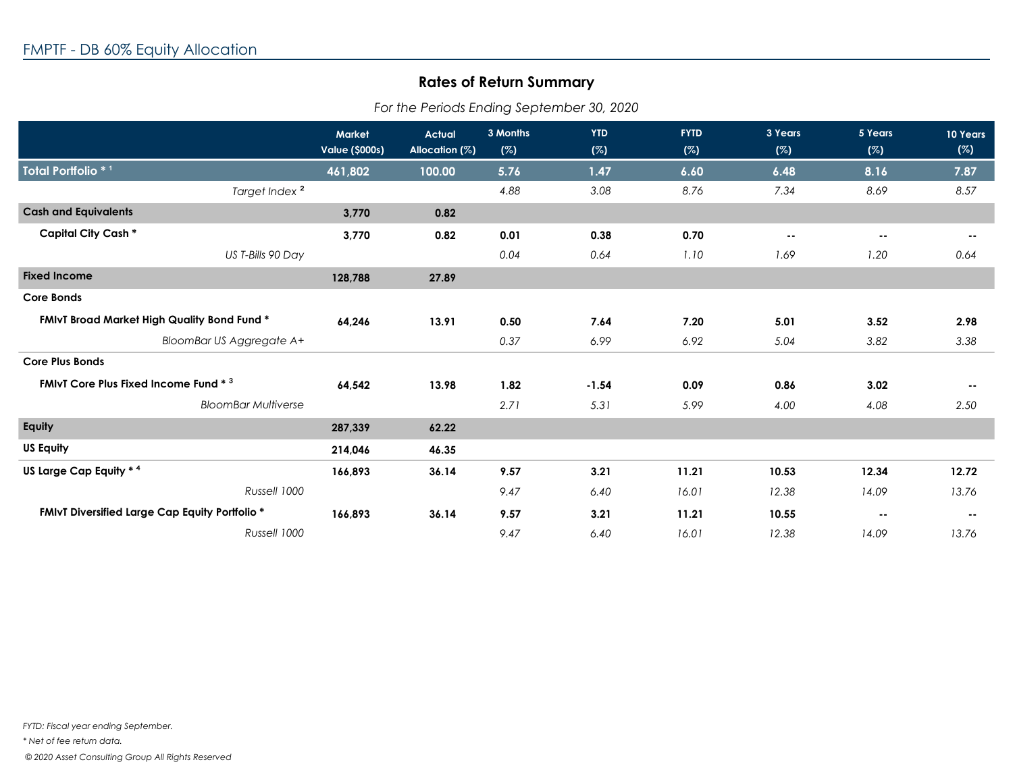## **Rates of Return Summary**

*For the Periods Ending September 30, 2020*

|                                                              | <b>Market</b>         | <b>Actual</b><br>Allocation (%) | 3 Months<br>(%) | <b>YTD</b><br>(%) | <b>FYTD</b><br>(%) | 3 Years<br>(%) | 5 Years<br>(%) | 10 Years<br>(%) |
|--------------------------------------------------------------|-----------------------|---------------------------------|-----------------|-------------------|--------------------|----------------|----------------|-----------------|
|                                                              | <b>Value (\$000s)</b> |                                 |                 |                   |                    |                |                |                 |
| Total Portfolio * 1                                          | 461,802               | 100.00                          | 5.76            | 1.47              | 6.60               | 6.48           | 8.16           | 7.87            |
| Target Index <sup>2</sup>                                    |                       |                                 | 4.88            | 3.08              | 8.76               | 7.34           | 8.69           | 8.57            |
| <b>Cash and Equivalents</b>                                  | 3,770                 | 0.82                            |                 |                   |                    |                |                |                 |
| <b>Capital City Cash *</b>                                   | 3,770                 | 0.82                            | 0.01            | 0.38              | 0.70               | $\sim$ $-$     | $\sim$ $-$     | $\sim$ $\sim$   |
| US T-Bills 90 Day                                            |                       |                                 | 0.04            | 0.64              | 1.10               | 1.69           | 1.20           | 0.64            |
| <b>Fixed Income</b>                                          | 128,788               | 27.89                           |                 |                   |                    |                |                |                 |
| <b>Core Bonds</b>                                            |                       |                                 |                 |                   |                    |                |                |                 |
| <b>FMIvT Broad Market High Quality Bond Fund *</b><br>64,246 |                       | 13.91                           | 0.50            | 7.64              | 7.20               | 5.01           | 3.52           | 2.98            |
| BloomBar US Aggregate A+                                     |                       |                                 | 0.37            | 6.99              | 6.92               | 5.04           | 3.82           | 3.38            |
| <b>Core Plus Bonds</b>                                       |                       |                                 |                 |                   |                    |                |                |                 |
| <b>FMIvT Core Plus Fixed Income Fund * 3</b>                 | 64,542                | 13.98                           | 1.82            | $-1.54$           | 0.09               | 0.86           | 3.02           | $\sim$ $\sim$   |
| <b>BloomBar Multiverse</b>                                   |                       |                                 | 2.71            | 5.31              | 5.99               | 4.00           | 4.08           | 2.50            |
| Equity                                                       | 287,339               | 62.22                           |                 |                   |                    |                |                |                 |
| <b>US Equity</b>                                             | 214,046               | 46.35                           |                 |                   |                    |                |                |                 |
| US Large Cap Equity * 4                                      | 166,893               | 36.14                           | 9.57            | 3.21              | 11.21              | 10.53          | 12.34          | 12.72           |
| Russell 1000                                                 |                       |                                 | 9.47            | 6.40              | 16.01              | 12.38          | 14.09          | 13.76           |
| <b>FMIvT Diversified Large Cap Equity Portfolio *</b>        | 166,893               | 36.14                           | 9.57            | 3.21              | 11.21              | 10.55          | $\sim$ $\sim$  | $\sim$ $-$      |
| Russell 1000                                                 |                       |                                 | 9.47            | 6.40              | 16.01              | 12.38          | 14.09          | 13.76           |

*FYTD: Fiscal year ending September.*

*\* Net of fee return data.*

 *© 2020 Asset Consulting Group All Rights Reserved*